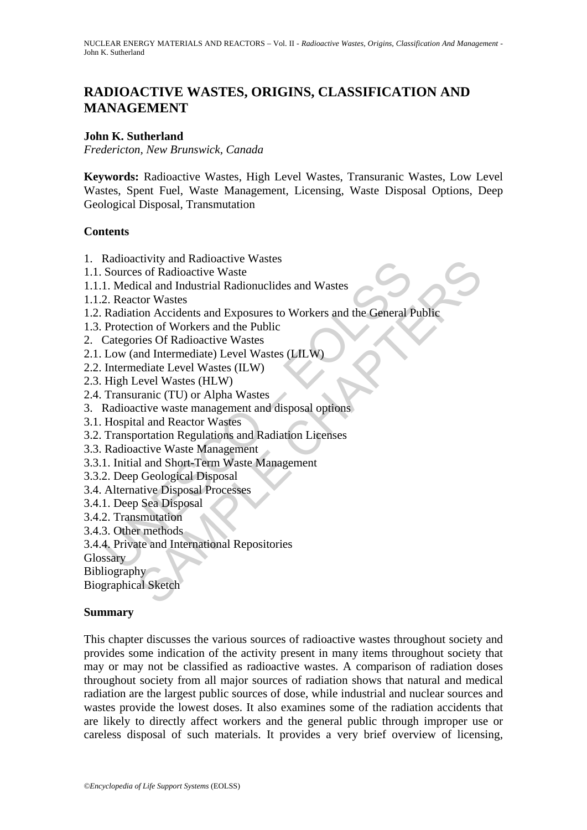# **RADIOACTIVE WASTES, ORIGINS, CLASSIFICATION AND MANAGEMENT**

### **John K. Sutherland**

*Fredericton, New Brunswick, Canada* 

**Keywords:** Radioactive Wastes, High Level Wastes, Transuranic Wastes, Low Level Wastes, Spent Fuel, Waste Management, Licensing, Waste Disposal Options, Deep Geological Disposal, Transmutation

### **Contents**

- 1. Radioactivity and Radioactive Wastes
- 1.1. Sources of Radioactive Waste
- 1.1.1. Medical and Industrial Radionuclides and Wastes
- 1.1.2. Reactor Wastes
- Radioactivity and Kataloactive Wastes<br>
Sources of Radioactive Wastes<br>
1. Medical and Industrial Radionuclides and Wastes<br>
2. Reactor Wastes<br>
Radiation Accidents and Exposures to Workers and the General F<br>
Protection of Wor crivity and radioactive wastes<br>so of Radioactive Wastes<br>is of Radioactive Wastes<br>ical and Industrial Radionuclides and Wastes<br>for Wastes<br>ion Accidents and Exposures to Workers and the General Public<br>mion of Workers and the 1.2. Radiation Accidents and Exposures to Workers and the General Public
- 1.3. Protection of Workers and the Public
- 2. Categories Of Radioactive Wastes
- 2.1. Low (and Intermediate) Level Wastes (LILW)
- 2.2. Intermediate Level Wastes (ILW)
- 2.3. High Level Wastes (HLW)
- 2.4. Transuranic (TU) or Alpha Wastes
- 3. Radioactive waste management and disposal options
- 3.1. Hospital and Reactor Wastes
- 3.2. Transportation Regulations and Radiation Licenses
- 3.3. Radioactive Waste Management
- 3.3.1. Initial and Short-Term Waste Management
- 3.3.2. Deep Geological Disposal
- 3.4. Alternative Disposal Processes
- 3.4.1. Deep Sea Disposal
- 3.4.2. Transmutation
- 3.4.3. Other methods
- 3.4.4. Private and International Repositories

**Glossary** 

Bibliography

Biographical Sketch

#### **Summary**

This chapter discusses the various sources of radioactive wastes throughout society and provides some indication of the activity present in many items throughout society that may or may not be classified as radioactive wastes. A comparison of radiation doses throughout society from all major sources of radiation shows that natural and medical radiation are the largest public sources of dose, while industrial and nuclear sources and wastes provide the lowest doses. It also examines some of the radiation accidents that are likely to directly affect workers and the general public through improper use or careless disposal of such materials. It provides a very brief overview of licensing,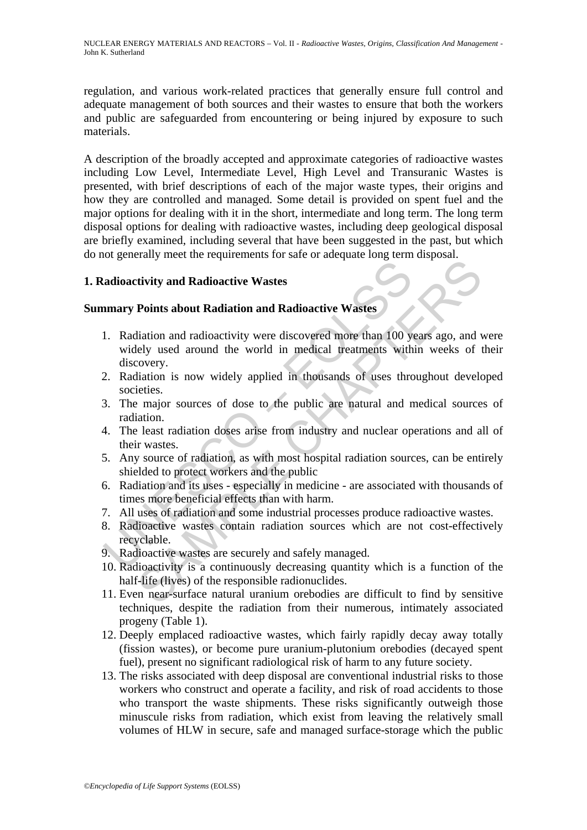regulation, and various work-related practices that generally ensure full control and adequate management of both sources and their wastes to ensure that both the workers and public are safeguarded from encountering or being injured by exposure to such materials.

A description of the broadly accepted and approximate categories of radioactive wastes including Low Level, Intermediate Level, High Level and Transuranic Wastes is presented, with brief descriptions of each of the major waste types, their origins and how they are controlled and managed. Some detail is provided on spent fuel and the major options for dealing with it in the short, intermediate and long term. The long term disposal options for dealing with radioactive wastes, including deep geological disposal are briefly examined, including several that have been suggested in the past, but which do not generally meet the requirements for safe or adequate long term disposal.

# **1. Radioactivity and Radioactive Wastes**

### **Summary Points about Radiation and Radioactive Wastes**

- Example 1<br> **Example 1** and **Radioactive Wastes**<br>
1. Radiation and radioactivity were discovered more than 100 y<br>
widely used around the world in medical treatments with<br>
discovery.<br>
2. Radiation is now widely applied in th The state of a material state of antique and the state of antique of the state of the state of the productive Wastes<br>Points about Radiation and Radioactive Wastes<br>Points about Radiation and Radioactive Wastes<br>Chapter and t 1. Radiation and radioactivity were discovered more than 100 years ago, and were widely used around the world in medical treatments within weeks of their discovery.
- 2. Radiation is now widely applied in thousands of uses throughout developed societies.
- 3. The major sources of dose to the public are natural and medical sources of radiation.
- 4. The least radiation doses arise from industry and nuclear operations and all of their wastes.
- 5. Any source of radiation, as with most hospital radiation sources, can be entirely shielded to protect workers and the public
- 6. Radiation and its uses especially in medicine are associated with thousands of times more beneficial effects than with harm.
- 7. All uses of radiation and some industrial processes produce radioactive wastes.
- 8. Radioactive wastes contain radiation sources which are not cost-effectively recyclable.
- 9. Radioactive wastes are securely and safely managed.
- 10. Radioactivity is a continuously decreasing quantity which is a function of the half-life (lives) of the responsible radionuclides.
- 11. Even near-surface natural uranium orebodies are difficult to find by sensitive techniques, despite the radiation from their numerous, intimately associated progeny (Table 1).
- 12. Deeply emplaced radioactive wastes, which fairly rapidly decay away totally (fission wastes), or become pure uranium-plutonium orebodies (decayed spent fuel), present no significant radiological risk of harm to any future society.
- 13. The risks associated with deep disposal are conventional industrial risks to those workers who construct and operate a facility, and risk of road accidents to those who transport the waste shipments. These risks significantly outweigh those minuscule risks from radiation, which exist from leaving the relatively small volumes of HLW in secure, safe and managed surface-storage which the public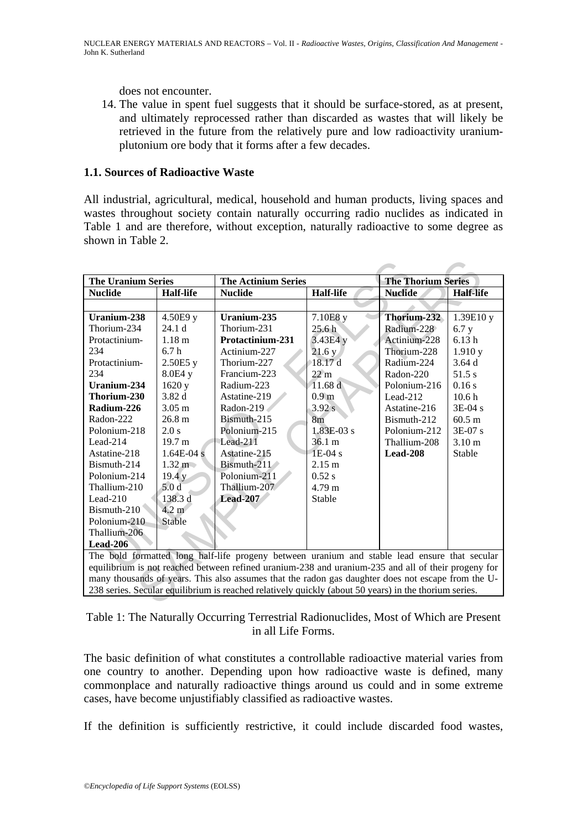does not encounter.

14. The value in spent fuel suggests that it should be surface-stored, as at present, and ultimately reprocessed rather than discarded as wastes that will likely be retrieved in the future from the relatively pure and low radioactivity uraniumplutonium ore body that it forms after a few decades.

### **1.1. Sources of Radioactive Waste**

All industrial, agricultural, medical, household and human products, living spaces and wastes throughout society contain naturally occurring radio nuclides as indicated in Table 1 and are therefore, without exception, naturally radioactive to some degree as shown in Table 2.

| <b>The Uranium Series</b> |                   | <b>The Actinium Series</b>                                                                            |                   | <b>The Thorium Series</b> |                   |
|---------------------------|-------------------|-------------------------------------------------------------------------------------------------------|-------------------|---------------------------|-------------------|
| <b>Nuclide</b>            | <b>Half-life</b>  | <b>Nuclide</b>                                                                                        | <b>Half-life</b>  | <b>Nuclide</b>            | <b>Half-life</b>  |
|                           |                   |                                                                                                       |                   |                           |                   |
| Uranium-238               | 4.50E9y           | Uranium-235                                                                                           | 7.10E8 y          | Thorium-232               | 1.39E10 y         |
| Thorium-234               | 24.1 <sub>d</sub> | Thorium-231                                                                                           | 25.6 <sub>h</sub> | Radium-228                | 6.7y              |
| Protactinium-             | 1.18 <sub>m</sub> | <b>Protactinium-231</b>                                                                               | 3.43E4 y          | Actinium-228              | 6.13h             |
| 234                       | 6.7h              | Actinium-227                                                                                          | 21.6y             | Thorium-228               | 1.910y            |
| Protactinium-             | 2.50E5y           | Thorium-227                                                                                           | 18.17d            | Radium-224                | 3.64d             |
| 234                       | 8.0E4 y           | Francium-223                                                                                          | $22 \text{ m}$    | Radon-220                 | 51.5 s            |
| Uranium-234               | 1620 y            | Radium-223                                                                                            | 11.68 d           | Polonium-216              | 0.16s             |
| Thorium-230               | 3.82d             | Astatine-219                                                                                          | 0.9 <sub>m</sub>  | Lead-212                  | 10.6 <sub>h</sub> |
| Radium-226                | $3.05 \text{ m}$  | Radon-219                                                                                             | 3.92 s            | Astatine-216              | $3E-04s$          |
| Radon-222                 | 26.8 m            | Bismuth-215                                                                                           | 8 <sub>m</sub>    | Bismuth-212               | $60.5 \text{ m}$  |
| Polonium-218              | 2.0 s             | Polonium-215                                                                                          | $1.83E-03s$       | Polonium-212              | $3E-07s$          |
| $Leaf-214$                | 19.7 m            | $Lead-211$                                                                                            | $36.1 \text{ m}$  | Thallium-208              | 3.10 m            |
| Astatine-218              | $1.64E-04s$       | Astatine-215                                                                                          | $1E-04s$          | <b>Lead-208</b>           | Stable            |
| Bismuth-214               | $1.32 \text{ m}$  | Bismuth-211                                                                                           | $2.15 \text{ m}$  |                           |                   |
| Polonium-214              | 19.4 y            | Polonium-211                                                                                          | 0.52 s            |                           |                   |
| Thallium-210              | 5.0d              | Thallium-207                                                                                          | $4.79 \text{ m}$  |                           |                   |
| $Leaf-210$                | 138.3 d           | Lead-207                                                                                              | Stable            |                           |                   |
| Bismuth-210               | $4.2 \text{ m}$   |                                                                                                       |                   |                           |                   |
| Polonium-210              | Stable            |                                                                                                       |                   |                           |                   |
| Thallium-206              |                   |                                                                                                       |                   |                           |                   |
| $Lead-206$                |                   |                                                                                                       |                   |                           |                   |
|                           |                   | The bold formatted long half-life progeny between uranium and stable lead ensure that secular         |                   |                           |                   |
|                           |                   | equilibrium is not reached between refined uranium-238 and uranium-235 and all of their progeny for   |                   |                           |                   |
|                           |                   | many thousands of years. This also assumes that the radon gas daughter does not escape from the U-    |                   |                           |                   |
|                           |                   | 238 series. Secular equilibrium is reached relatively quickly (about 50 years) in the thorium series. |                   |                           |                   |
|                           |                   |                                                                                                       |                   |                           |                   |

Table 1: The Naturally Occurring Terrestrial Radionuclides, Most of Which are Present in all Life Forms.

The basic definition of what constitutes a controllable radioactive material varies from one country to another. Depending upon how radioactive waste is defined, many commonplace and naturally radioactive things around us could and in some extreme cases, have become unjustifiably classified as radioactive wastes.

If the definition is sufficiently restrictive, it could include discarded food wastes,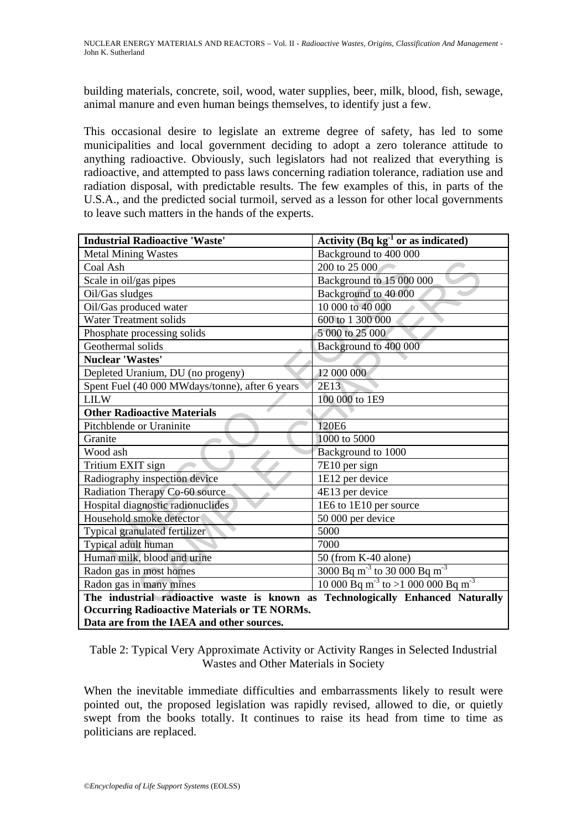building materials, concrete, soil, wood, water supplies, beer, milk, blood, fish, sewage, animal manure and even human beings themselves, to identify just a few.

This occasional desire to legislate an extreme degree of safety, has led to some municipalities and local government deciding to adopt a zero tolerance attitude to anything radioactive. Obviously, such legislators had not realized that everything is radioactive, and attempted to pass laws concerning radiation tolerance, radiation use and radiation disposal, with predictable results. The few examples of this, in parts of the U.S.A., and the predicted social turmoil, served as a lesson for other local governments to leave such matters in the hands of the experts.

| <b>Industrial Radioactive 'Waste'</b>                                           | Activity $(Bq kg-1 or as indicated)$                             |  |
|---------------------------------------------------------------------------------|------------------------------------------------------------------|--|
| <b>Metal Mining Wastes</b>                                                      | Background to 400 000                                            |  |
| Coal Ash                                                                        | 200 to 25 000                                                    |  |
| Scale in oil/gas pipes                                                          | Background to 15 000 000                                         |  |
| Oil/Gas sludges                                                                 | Background to 40 000                                             |  |
| Oil/Gas produced water                                                          | 10 000 to 40 000                                                 |  |
| <b>Water Treatment solids</b>                                                   | 600 to 1 300 000                                                 |  |
| Phosphate processing solids                                                     | 5 000 to 25 000                                                  |  |
| Geothermal solids                                                               | Background to 400 000                                            |  |
| Nuclear 'Wastes'                                                                |                                                                  |  |
| Depleted Uranium, DU (no progeny)                                               | 12 000 000                                                       |  |
| Spent Fuel (40 000 MWdays/tonne), after 6 years                                 | 2E13                                                             |  |
| <b>LILW</b>                                                                     | 100 000 to 1E9                                                   |  |
| <b>Other Radioactive Materials</b>                                              |                                                                  |  |
| Pitchblende or Uraninite                                                        | 120E6                                                            |  |
| Granite                                                                         | 1000 to 5000                                                     |  |
| Wood ash                                                                        | Background to 1000                                               |  |
| Tritium EXIT sign                                                               | 7E10 per sign                                                    |  |
| Radiography inspection device                                                   | 1E12 per device                                                  |  |
| Radiation Therapy Co-60 source                                                  | 4E13 per device                                                  |  |
| Hospital diagnostic radionuclides                                               | 1E6 to 1E10 per source                                           |  |
| Household smoke detector                                                        | 50 000 per device                                                |  |
| Typical granulated fertilizer                                                   | 5000                                                             |  |
| Typical adult human                                                             | 7000                                                             |  |
| Human milk, blood and urine                                                     | $50$ (from K-40 alone)                                           |  |
| Radon gas in most homes                                                         | 3000 Bq m <sup>-3</sup> to $\overline{30000}$ Bq m <sup>-3</sup> |  |
| Radon gas in many mines                                                         | 10 000 Bq m <sup>-3</sup> to >1 000 000 Bq m <sup>-3</sup>       |  |
| The industrial radioactive waste is known as Technologically Enhanced Naturally |                                                                  |  |
| <b>Occurring Radioactive Materials or TE NORMs.</b>                             |                                                                  |  |

#### **Data are from the IAEA and other sources.**

Table 2: Typical Very Approximate Activity or Activity Ranges in Selected Industrial Wastes and Other Materials in Society

When the inevitable immediate difficulties and embarrassments likely to result were pointed out, the proposed legislation was rapidly revised, allowed to die, or quietly swept from the books totally. It continues to raise its head from time to time as politicians are replaced.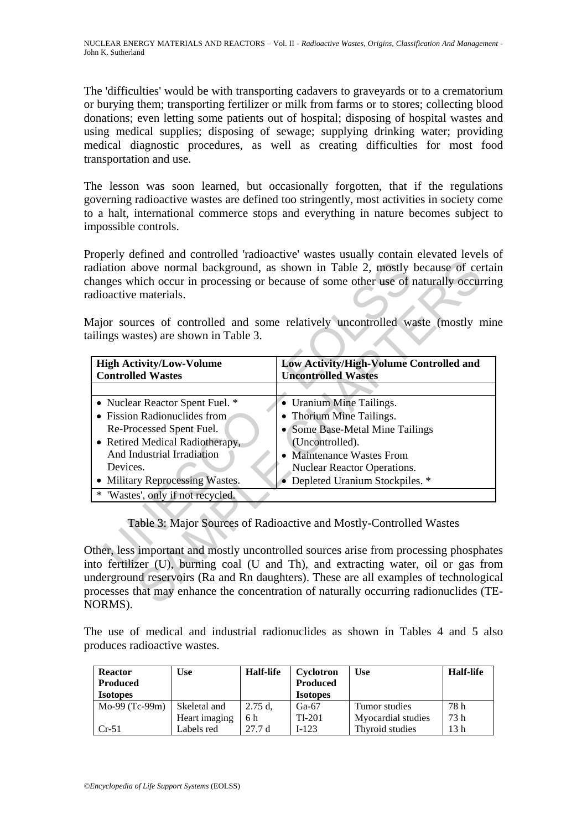The 'difficulties' would be with transporting cadavers to graveyards or to a crematorium or burying them; transporting fertilizer or milk from farms or to stores; collecting blood donations; even letting some patients out of hospital; disposing of hospital wastes and using medical supplies; disposing of sewage; supplying drinking water; providing medical diagnostic procedures, as well as creating difficulties for most food transportation and use.

The lesson was soon learned, but occasionally forgotten, that if the regulations governing radioactive wastes are defined too stringently, most activities in society come to a halt, international commerce stops and everything in nature becomes subject to impossible controls.

Properly defined and controlled 'radioactive' wastes usually contain elevated levels of radiation above normal background, as shown in Table 2, mostly because of certain changes which occur in processing or because of some other use of naturally occurring radioactive materials.

| Some Base-Metal Mine Tailings                                      |
|--------------------------------------------------------------------|
|                                                                    |
| • Maintenance Wastes From                                          |
| Nuclear Reactor Operations.                                        |
|                                                                    |
|                                                                    |
| Table 3: Major Sources of Radioactive and Mostly-Controlled Wastes |
|                                                                    |
| • Depleted Uranium Stockpiles. *                                   |

Other, less important and mostly uncontrolled sources arise from processing phosphates into fertilizer (U), burning coal (U and Th), and extracting water, oil or gas from underground reservoirs (Ra and Rn daughters). These are all examples of technological processes that may enhance the concentration of naturally occurring radionuclides (TE-NORMS).

The use of medical and industrial radionuclides as shown in Tables 4 and 5 also produces radioactive wastes.

| <b>Reactor</b><br><b>Produced</b><br><b>Isotopes</b> | <b>Use</b>    | <b>Half-life</b> | Cyclotron<br><b>Produced</b><br><b>Isotopes</b> | Use                | <b>Half-life</b> |
|------------------------------------------------------|---------------|------------------|-------------------------------------------------|--------------------|------------------|
| Mo-99 (Tc-99m)                                       | Skeletal and  | $2.75$ d.        | $Ga-67$                                         | Tumor studies      | 78 h             |
|                                                      | Heart imaging | 6 h              | $Tl-201$                                        | Myocardial studies | 73 h             |
| $Cr-51$                                              | Labels red    | 27.7d            | $I-123$                                         | Thyroid studies    | 13 h             |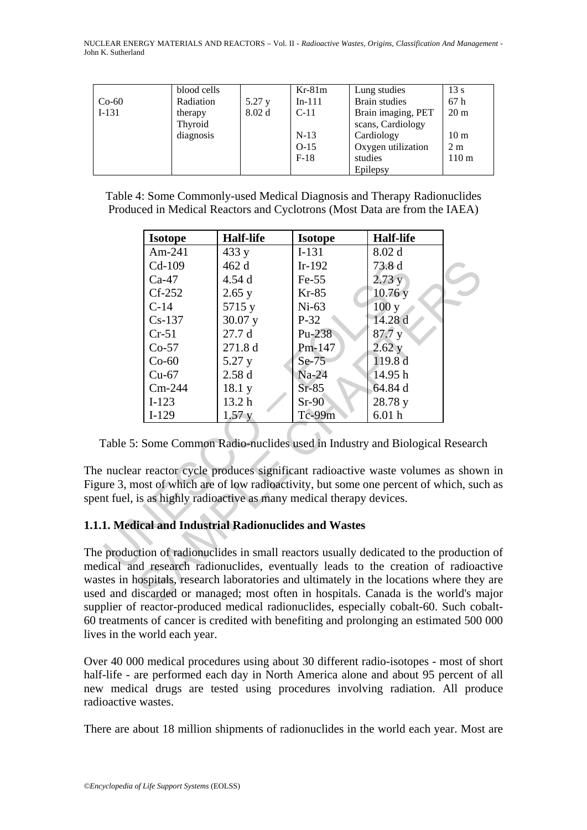| $Co-60$<br>$I-131$ | blood cells<br>Radiation<br>therapy | 5.27 y<br>8.02 <sub>d</sub> | $Kr-81m$<br>$In-111$<br>$C-11$ | Lung studies<br>Brain studies<br>Brain imaging, PET                          | 13s<br>67h<br>20 <sub>m</sub>                         |
|--------------------|-------------------------------------|-----------------------------|--------------------------------|------------------------------------------------------------------------------|-------------------------------------------------------|
|                    | Thyroid<br>diagnosis                |                             | $N-13$<br>$O-15$<br>$F-18$     | scans, Cardiology<br>Cardiology<br>Oxygen utilization<br>studies<br>Epilepsy | 10 <sub>m</sub><br>2 <sub>m</sub><br>110 <sub>m</sub> |

Table 4: Some Commonly-used Medical Diagnosis and Therapy Radionuclides Produced in Medical Reactors and Cyclotrons (Most Data are from the IAEA)

| <b>Isotope</b> | <b>Half-life</b>  | <b>Isotope</b>                                                     | <b>Half-life</b>                                                                                                                                                                                                                                                                                                                                                                                                                                                                                                                                                                                                                               |  |
|----------------|-------------------|--------------------------------------------------------------------|------------------------------------------------------------------------------------------------------------------------------------------------------------------------------------------------------------------------------------------------------------------------------------------------------------------------------------------------------------------------------------------------------------------------------------------------------------------------------------------------------------------------------------------------------------------------------------------------------------------------------------------------|--|
| Am-241         | 433 y             | $I-131$                                                            | 8.02 d                                                                                                                                                                                                                                                                                                                                                                                                                                                                                                                                                                                                                                         |  |
| Cd-109         | 462 d             | $Ir-192$                                                           | 73.8 d                                                                                                                                                                                                                                                                                                                                                                                                                                                                                                                                                                                                                                         |  |
| $Ca-47$        | 4.54 d            | $Fe-55$                                                            | 2.73y                                                                                                                                                                                                                                                                                                                                                                                                                                                                                                                                                                                                                                          |  |
| $Cf-252$       | 2.65y             | $Kr-85$                                                            | 10.76y                                                                                                                                                                                                                                                                                                                                                                                                                                                                                                                                                                                                                                         |  |
| $C-14$         | 5715 y            | $Ni-63$                                                            | 100y                                                                                                                                                                                                                                                                                                                                                                                                                                                                                                                                                                                                                                           |  |
| $Cs-137$       | 30.07 y           | $P-32$                                                             | 14.28 d                                                                                                                                                                                                                                                                                                                                                                                                                                                                                                                                                                                                                                        |  |
| $Cr-51$        | 27.7d             | Pu-238                                                             | 87.7y                                                                                                                                                                                                                                                                                                                                                                                                                                                                                                                                                                                                                                          |  |
| $Co-57$        | 271.8 d           | Pm-147                                                             | $2.62$ y                                                                                                                                                                                                                                                                                                                                                                                                                                                                                                                                                                                                                                       |  |
| $Co-60$        | 5.27 y            | $Se-75$                                                            | 119.8 d                                                                                                                                                                                                                                                                                                                                                                                                                                                                                                                                                                                                                                        |  |
| $Cu-67$        | 2.58d             | $Na-24$                                                            | 14.95 h                                                                                                                                                                                                                                                                                                                                                                                                                                                                                                                                                                                                                                        |  |
| $Cm-244$       | 18.1 y            | $Sr-85$                                                            | 64.84 d                                                                                                                                                                                                                                                                                                                                                                                                                                                                                                                                                                                                                                        |  |
| $I-123$        | 13.2 <sub>h</sub> | $Sr-90$                                                            | 28.78 y                                                                                                                                                                                                                                                                                                                                                                                                                                                                                                                                                                                                                                        |  |
| $I-129$        | 1.57y             | $Tc-99m$                                                           | 6.01 <sub>h</sub>                                                                                                                                                                                                                                                                                                                                                                                                                                                                                                                                                                                                                              |  |
|                |                   | at fuel, is as highly radioactive as many medical therapy devices. | Table 5: Some Common Radio-nuclides used in Industry and Biological Researcl<br>nuclear reactor cycle produces significant radioactive waste volumes as show<br>are 3, most of which are of low radioactivity, but some one percent of which, suc                                                                                                                                                                                                                                                                                                                                                                                              |  |
|                |                   | 1. Medical and Industrial Radionuclides and Wastes                 |                                                                                                                                                                                                                                                                                                                                                                                                                                                                                                                                                                                                                                                |  |
|                |                   |                                                                    | production of radionuclides in small reactors usually dedicated to the production<br>lical and research radionuclides, eventually leads to the creation of radioac<br>tes in hospitals, research laboratories and ultimately in the locations where they<br>I and discarded or managed; most often in hospitals. Canada is the world's m<br>$\mathbf{1}^1$ and $\mathbf{1}^0$ are constructed and $\mathbf{1}^1$ and $\mathbf{1}^1$ are $\mathbf{1}^1$ decomposited as $\mathbf{1}^1$ and $\mathbf{1}^1$ and $\mathbf{1}^0$ $\mathbf{1}$ $\mathbf{1}$ $\mathbf{1}$ $\mathbf{1}$ $\mathbf{1}$ $\mathbf{1}$ $\mathbf{1}$ $\mathbf{1}$ $\mathbf{$ |  |

The nuclear reactor cycle produces significant radioactive waste volumes as shown in Figure 3, most of which are of low radioactivity, but some one percent of which, such as spent fuel, is as highly radioactive as many medical therapy devices.

# **1.1.1. Medical and Industrial Radionuclides and Wastes**

The production of radionuclides in small reactors usually dedicated to the production of medical and research radionuclides, eventually leads to the creation of radioactive wastes in hospitals, research laboratories and ultimately in the locations where they are used and discarded or managed; most often in hospitals. Canada is the world's major supplier of reactor-produced medical radionuclides, especially cobalt-60. Such cobalt-60 treatments of cancer is credited with benefiting and prolonging an estimated 500 000 lives in the world each year.

Over 40 000 medical procedures using about 30 different radio-isotopes - most of short half-life - are performed each day in North America alone and about 95 percent of all new medical drugs are tested using procedures involving radiation. All produce radioactive wastes.

There are about 18 million shipments of radionuclides in the world each year. Most are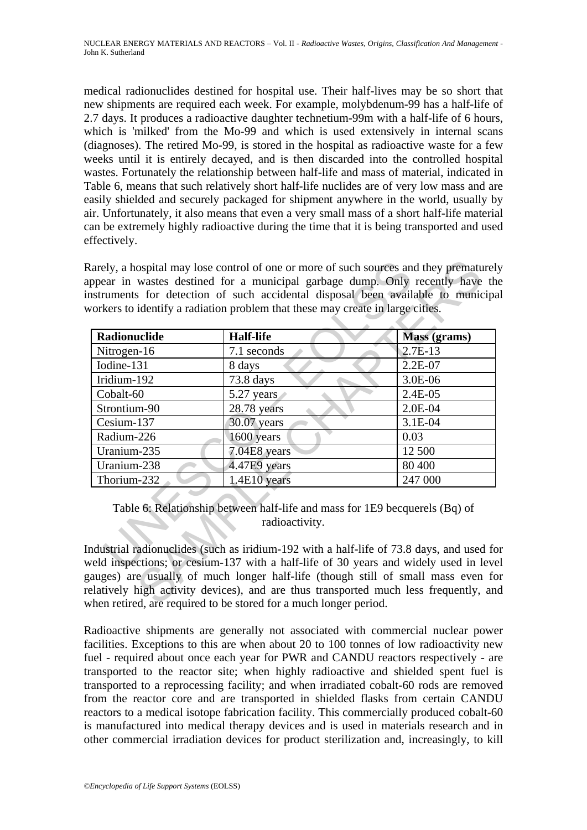medical radionuclides destined for hospital use. Their half-lives may be so short that new shipments are required each week. For example, molybdenum-99 has a half-life of 2.7 days. It produces a radioactive daughter technetium-99m with a half-life of 6 hours, which is 'milked' from the Mo-99 and which is used extensively in internal scans (diagnoses). The retired Mo-99, is stored in the hospital as radioactive waste for a few weeks until it is entirely decayed, and is then discarded into the controlled hospital wastes. Fortunately the relationship between half-life and mass of material, indicated in Table 6, means that such relatively short half-life nuclides are of very low mass and are easily shielded and securely packaged for shipment anywhere in the world, usually by air. Unfortunately, it also means that even a very small mass of a short half-life material can be extremely highly radioactive during the time that it is being transported and used effectively.

| Radionuclide | <b>Half-life</b>                                                                              | Mass (grams) |
|--------------|-----------------------------------------------------------------------------------------------|--------------|
| Nitrogen-16  | 7.1 seconds                                                                                   | $2.7E-13$    |
| Iodine-131   | 8 days                                                                                        | $2.2E-07$    |
| Iridium-192  | 73.8 days                                                                                     | $3.0E-06$    |
| Cobalt-60    | 5.27 years                                                                                    | $2.4E-05$    |
| Strontium-90 | 28.78 years                                                                                   | $2.0E-04$    |
| Cesium-137   | 30.07 years                                                                                   | 3.1E-04      |
| Radium-226   | 1600 years                                                                                    | 0.03         |
| Uranium-235  | 7.04E8 years                                                                                  | 12 500       |
| Uranium-238  | 4.47E9 years                                                                                  | 80 400       |
|              | 1.4E10 years                                                                                  | 247 000      |
| Thorium-232  | Table 6: Relationship between half-life and mass for 1E9 becquerels (Bq) of<br>radioactivity. |              |

Industrial radionuclides (such as iridium-192 with a half-life of 73.8 days, and used for weld inspections; or cesium-137 with a half-life of 30 years and widely used in level gauges) are usually of much longer half-life (though still of small mass even for relatively high activity devices), and are thus transported much less frequently, and when retired, are required to be stored for a much longer period.

Radioactive shipments are generally not associated with commercial nuclear power facilities. Exceptions to this are when about 20 to 100 tonnes of low radioactivity new fuel - required about once each year for PWR and CANDU reactors respectively - are transported to the reactor site; when highly radioactive and shielded spent fuel is transported to a reprocessing facility; and when irradiated cobalt-60 rods are removed from the reactor core and are transported in shielded flasks from certain CANDU reactors to a medical isotope fabrication facility. This commercially produced cobalt-60 is manufactured into medical therapy devices and is used in materials research and in other commercial irradiation devices for product sterilization and, increasingly, to kill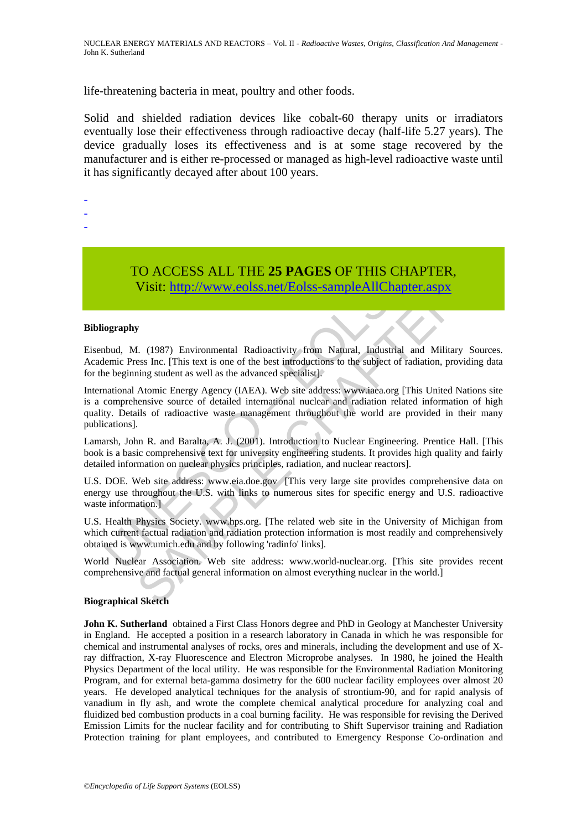life-threatening bacteria in meat, poultry and other foods.

Solid and shielded radiation devices like cobalt-60 therapy units or irradiators eventually lose their effectiveness through radioactive decay (half-life 5.27 years). The device gradually loses its effectiveness and is at some stage recovered by the manufacturer and is either re-processed or managed as high-level radioactive waste until it has significantly decayed after about 100 years.

-

- -
- -

TO ACCESS ALL THE **25 PAGES** OF THIS CHAPTER, Visit: http://www.eolss.net/Eolss-sampleAllChapter.aspx

#### **Bibliography**

Eisenbud, M. (1987) Environmental Radioactivity from Natural, Industrial and Military Sources. Academic Press Inc. [This text is one of the best introductions to the subject of radiation, providing data for the beginning student as well as the advanced specialist].

TO ACCESS ALL THE 25 PAGES OF THIS CHANNET VISIT: WE VISIT: http://www.eolss.net/Eolss-sample All Chapter (ography<br>bud, M. (1987) Environmental Radioactivity from Natural, Industrial a<br>lemic Press Inc. [This text is one of TO ACCESS ALL THE 25 PAGES OF THIS CHAPTER,<br>
Visit: http://www.colss.net/Eolss-sampleAllChapter.aspx<br>
7<br>
1. (1987) Environmental Radioactivity from Natural, Industrial and Military Sources<br>
1. (This text is one of the best International Atomic Energy Agency (IAEA). Web site address: www.iaea.org [This United Nations site is a comprehensive source of detailed international nuclear and radiation related information of high quality. Details of radioactive waste management throughout the world are provided in their many publications].

Lamarsh, John R. and Baralta, A. J. (2001). Introduction to Nuclear Engineering. Prentice Hall. [This book is a basic comprehensive text for university engineering students. It provides high quality and fairly detailed information on nuclear physics principles, radiation, and nuclear reactors].

U.S. DOE. Web site address: www.eia.doe.gov [This very large site provides comprehensive data on energy use throughout the U.S. with links to numerous sites for specific energy and U.S. radioactive waste information.]

U.S. Health Physics Society. www.hps.org. [The related web site in the University of Michigan from which current factual radiation and radiation protection information is most readily and comprehensively obtained is www.umich.edu and by following 'radinfo' links].

World Nuclear Association. Web site address: www.world-nuclear.org. [This site provides recent comprehensive and factual general information on almost everything nuclear in the world.]

#### **Biographical Sketch**

**John K. Sutherland** obtained a First Class Honors degree and PhD in Geology at Manchester University in England. He accepted a position in a research laboratory in Canada in which he was responsible for chemical and instrumental analyses of rocks, ores and minerals, including the development and use of Xray diffraction, X-ray Fluorescence and Electron Microprobe analyses. In 1980, he joined the Health Physics Department of the local utility. He was responsible for the Environmental Radiation Monitoring Program, and for external beta-gamma dosimetry for the 600 nuclear facility employees over almost 20 years. He developed analytical techniques for the analysis of strontium-90, and for rapid analysis of vanadium in fly ash, and wrote the complete chemical analytical procedure for analyzing coal and fluidized bed combustion products in a coal burning facility. He was responsible for revising the Derived Emission Limits for the nuclear facility and for contributing to Shift Supervisor training and Radiation Protection training for plant employees, and contributed to Emergency Response Co-ordination and